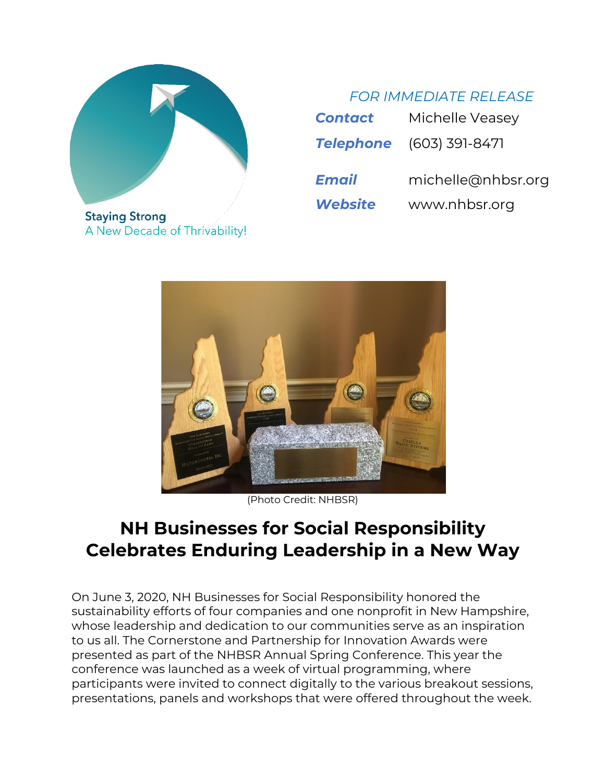

**Staying Strong** A New Decade of Thrivability!

# *FOR IMMEDIATE RELEASE*

| <b>Contact</b> | Michelle Veasey                 |
|----------------|---------------------------------|
|                | <b>Telephone</b> (603) 391-8471 |
|                |                                 |
| Email          | michelle@nhbsr.org              |



(Photo Credit: NHBSR)

# **NH Businesses for Social Responsibility Celebrates Enduring Leadership in a New Way**

On June 3, 2020, NH Businesses for Social Responsibility honored the sustainability efforts of four companies and one nonprofit in New Hampshire, whose leadership and dedication to our communities serve as an inspiration to us all. The Cornerstone and Partnership for Innovation Awards were presented as part of the NHBSR Annual Spring Conference. This year the conference was launched as a week of virtual programming, where participants were invited to connect digitally to the various breakout sessions, presentations, panels and workshops that were offered throughout the week.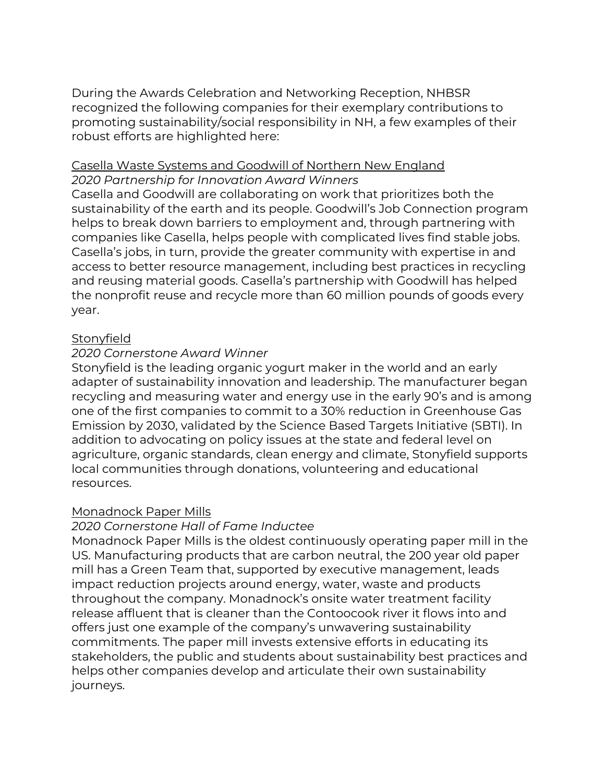During the Awards Celebration and Networking Reception, NHBSR recognized the following companies for their exemplary contributions to promoting sustainability/social responsibility in NH, a few examples of their robust efforts are highlighted here:

### Casella Waste Systems and Goodwill of Northern New England *2020 Partnership for Innovation Award Winners*

Casella and Goodwill are collaborating on work that prioritizes both the sustainability of the earth and its people. Goodwill's Job Connection program helps to break down barriers to employment and, through partnering with companies like Casella, helps people with complicated lives find stable jobs. Casella's jobs, in turn, provide the greater community with expertise in and access to better resource management, including best practices in recycling and reusing material goods. Casella's partnership with Goodwill has helped the nonprofit reuse and recycle more than 60 million pounds of goods every year.

## **Stonyfield**

#### *2020 Cornerstone Award Winner*

Stonyfield is the leading organic yogurt maker in the world and an early adapter of sustainability innovation and leadership. The manufacturer began recycling and measuring water and energy use in the early 90's and is among one of the first companies to commit to a 30% reduction in Greenhouse Gas Emission by 2030, validated by the Science Based Targets Initiative (SBTI). In addition to advocating on policy issues at the state and federal level on agriculture, organic standards, clean energy and climate, Stonyfield supports local communities through donations, volunteering and educational resources.

#### Monadnock Paper Mills

#### *2020 Cornerstone Hall of Fame Inductee*

Monadnock Paper Mills is the oldest continuously operating paper mill in the US. Manufacturing products that are carbon neutral, the 200 year old paper mill has a Green Team that, supported by executive management, leads impact reduction projects around energy, water, waste and products throughout the company. Monadnock's onsite water treatment facility release affluent that is cleaner than the Contoocook river it flows into and offers just one example of the company's unwavering sustainability commitments. The paper mill invests extensive efforts in educating its stakeholders, the public and students about sustainability best practices and helps other companies develop and articulate their own sustainability journeys.